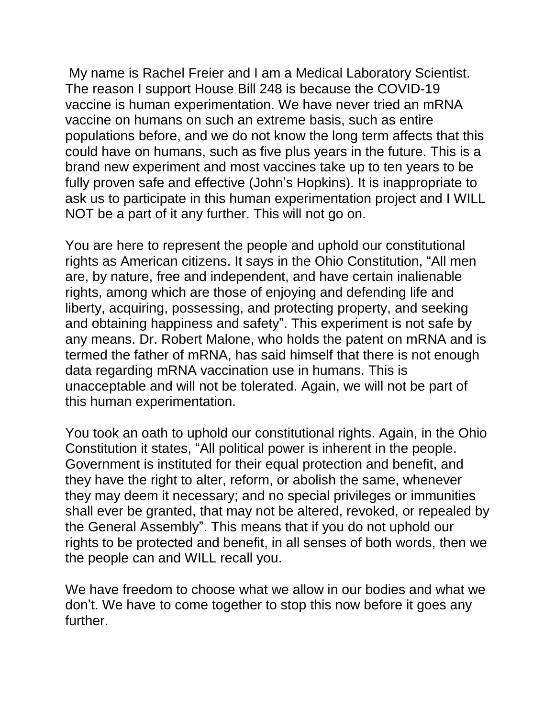My name is Rachel Freier and I am a Medical Laboratory Scientist. The reason I support House Bill 248 is because the COVID-19 vaccine is human experimentation. We have never tried an mRNA vaccine on humans on such an extreme basis, such as entire populations before, and we do not know the long term affects that this could have on humans, such as five plus years in the future. This is a brand new experiment and most vaccines take up to ten years to be fully proven safe and effective (John's Hopkins). It is inappropriate to ask us to participate in this human experimentation project and I WILL NOT be a part of it any further. This will not go on.

You are here to represent the people and uphold our constitutional rights as American citizens. It says in the Ohio Constitution, "All men are, by nature, free and independent, and have certain inalienable rights, among which are those of enjoying and defending life and liberty, acquiring, possessing, and protecting property, and seeking and obtaining happiness and safety". This experiment is not safe by any means. Dr. Robert Malone, who holds the patent on mRNA and is termed the father of mRNA, has said himself that there is not enough data regarding mRNA vaccination use in humans. This is unacceptable and will not be tolerated. Again, we will not be part of this human experimentation.

You took an oath to uphold our constitutional rights. Again, in the Ohio Constitution it states, "All political power is inherent in the people. Government is instituted for their equal protection and benefit, and they have the right to alter, reform, or abolish the same, whenever they may deem it necessary; and no special privileges or immunities shall ever be granted, that may not be altered, revoked, or repealed by the General Assembly". This means that if you do not uphold our rights to be protected and benefit, in all senses of both words, then we the people can and WILL recall you.

We have freedom to choose what we allow in our bodies and what we don't. We have to come together to stop this now before it goes any further.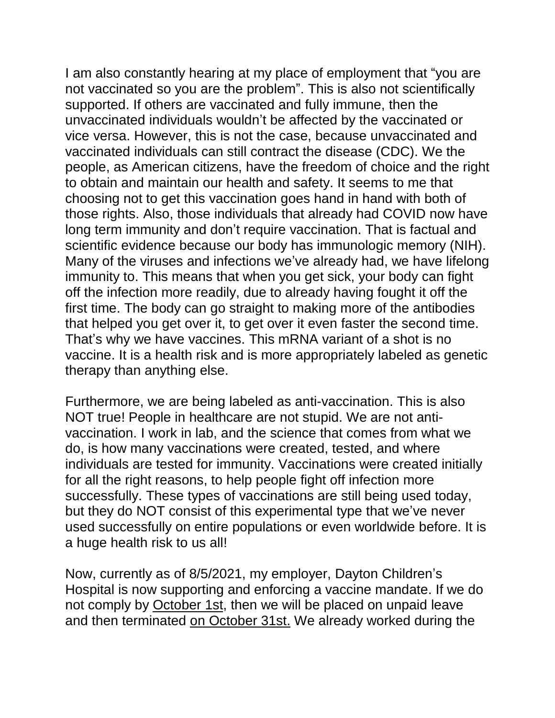I am also constantly hearing at my place of employment that "you are not vaccinated so you are the problem". This is also not scientifically supported. If others are vaccinated and fully immune, then the unvaccinated individuals wouldn't be affected by the vaccinated or vice versa. However, this is not the case, because unvaccinated and vaccinated individuals can still contract the disease (CDC). We the people, as American citizens, have the freedom of choice and the right to obtain and maintain our health and safety. It seems to me that choosing not to get this vaccination goes hand in hand with both of those rights. Also, those individuals that already had COVID now have long term immunity and don't require vaccination. That is factual and scientific evidence because our body has immunologic memory (NIH). Many of the viruses and infections we've already had, we have lifelong immunity to. This means that when you get sick, your body can fight off the infection more readily, due to already having fought it off the first time. The body can go straight to making more of the antibodies that helped you get over it, to get over it even faster the second time. That's why we have vaccines. This mRNA variant of a shot is no vaccine. It is a health risk and is more appropriately labeled as genetic therapy than anything else.

Furthermore, we are being labeled as anti-vaccination. This is also NOT true! People in healthcare are not stupid. We are not antivaccination. I work in lab, and the science that comes from what we do, is how many vaccinations were created, tested, and where individuals are tested for immunity. Vaccinations were created initially for all the right reasons, to help people fight off infection more successfully. These types of vaccinations are still being used today, but they do NOT consist of this experimental type that we've never used successfully on entire populations or even worldwide before. It is a huge health risk to us all!

Now, currently as of 8/5/2021, my employer, Dayton Children's Hospital is now supporting and enforcing a vaccine mandate. If we do not comply by October 1st, then we will be placed on unpaid leave and then terminated on October 31st. We already worked during the